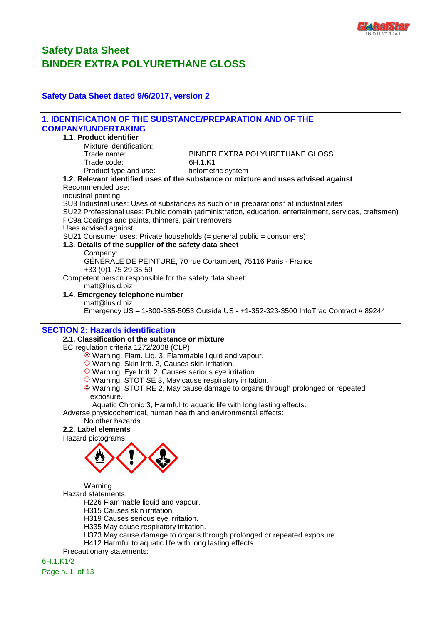

# **Safety Data Sheet dated 9/6/2017, version 2**

| <b>1. IDENTIFICATION OF THE SUBSTANCE/PREPARATION AND OF THE</b>                               |                                                                                                       |
|------------------------------------------------------------------------------------------------|-------------------------------------------------------------------------------------------------------|
| <b>COMPANY/UNDERTAKING</b>                                                                     |                                                                                                       |
| 1.1. Product identifier                                                                        |                                                                                                       |
| Mixture identification:                                                                        |                                                                                                       |
| Trade name:                                                                                    | BINDER EXTRA POLYURETHANE GLOSS                                                                       |
| Trade code:                                                                                    | 6H.1.K1                                                                                               |
| Product type and use:                                                                          | tintometric system                                                                                    |
|                                                                                                | 1.2. Relevant identified uses of the substance or mixture and uses advised against                    |
| Recommended use:                                                                               |                                                                                                       |
| industrial painting                                                                            |                                                                                                       |
|                                                                                                | SU3 Industrial uses: Uses of substances as such or in preparations* at industrial sites               |
|                                                                                                | SU22 Professional uses: Public domain (administration, education, entertainment, services, craftsmen) |
| PC9a Coatings and paints, thinners, paint removers                                             |                                                                                                       |
| Uses advised against:<br>SU21 Consumer uses: Private households (= general public = consumers) |                                                                                                       |
| 1.3. Details of the supplier of the safety data sheet                                          |                                                                                                       |
| Company:                                                                                       |                                                                                                       |
|                                                                                                | GÉNÉRALE DE PEINTURE, 70 rue Cortambert, 75116 Paris - France                                         |
| +33 (0) 175 29 35 59                                                                           |                                                                                                       |
| Competent person responsible for the safety data sheet:                                        |                                                                                                       |
| matt@lusid.biz                                                                                 |                                                                                                       |
| 1.4. Emergency telephone number                                                                |                                                                                                       |
| matt@lusid.biz                                                                                 |                                                                                                       |
|                                                                                                | Emergency US - 1-800-535-5053 Outside US - +1-352-323-3500 InfoTrac Contract # 89244                  |
|                                                                                                |                                                                                                       |
| <b>SECTION 2: Hazards identification</b>                                                       |                                                                                                       |
| 2.1. Classification of the substance or mixture                                                |                                                                                                       |
| EC regulation criteria 1272/2008 (CLP)                                                         |                                                                                                       |
| ◈ Warning, Flam. Liq. 3, Flammable liquid and vapour.                                          |                                                                                                       |
| ♦ Warning, Skin Irrit. 2, Causes skin irritation.                                              |                                                                                                       |
| $\Diamond$ Warning, Eye Irrit. 2, Causes serious eye irritation.                               |                                                                                                       |
| ♦ Warning, STOT SE 3, May cause respiratory irritation.                                        |                                                                                                       |
|                                                                                                | ◈ Warning, STOT RE 2, May cause damage to organs through prolonged or repeated                        |
| exposure.                                                                                      |                                                                                                       |
|                                                                                                | Aquatic Chronic 3, Harmful to aquatic life with long lasting effects.                                 |
| Adverse physicochemical, human health and environmental effects:                               |                                                                                                       |
| No other hazards                                                                               |                                                                                                       |
| 2.2. Label elements                                                                            |                                                                                                       |
| Hazard pictograms:                                                                             |                                                                                                       |
| <b>State Contract Contract Property</b>                                                        |                                                                                                       |
|                                                                                                |                                                                                                       |
|                                                                                                |                                                                                                       |
|                                                                                                |                                                                                                       |
|                                                                                                |                                                                                                       |
| Warning                                                                                        |                                                                                                       |
| Hazard statements:                                                                             |                                                                                                       |
| H226 Flammable liquid and vapour.                                                              |                                                                                                       |
| H315 Causes skin irritation.                                                                   |                                                                                                       |
| H319 Causes serious eye irritation.                                                            |                                                                                                       |
| H335 May cause respiratory irritation.                                                         |                                                                                                       |
|                                                                                                | H373 May cause damage to organs through prolonged or repeated exposure.                               |
| H412 Harmful to aquatic life with long lasting effects.                                        |                                                                                                       |
| Precautionary statements:                                                                      |                                                                                                       |
| 6H.1.K1/2                                                                                      |                                                                                                       |

Page n. 1 of 13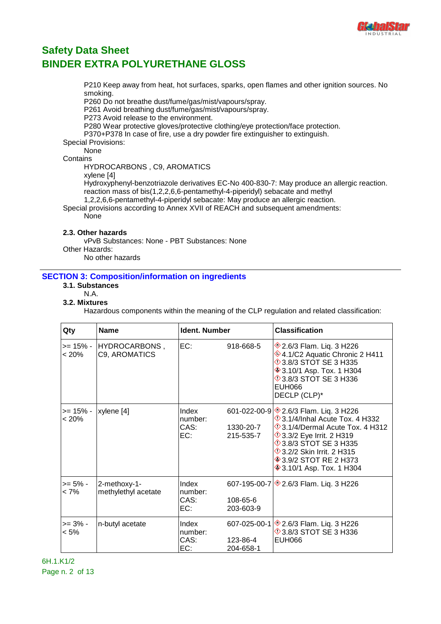

P210 Keep away from heat, hot surfaces, sparks, open flames and other ignition sources. No smoking.

P260 Do not breathe dust/fume/gas/mist/vapours/spray.

P261 Avoid breathing dust/fume/gas/mist/vapours/spray.

P273 Avoid release to the environment.

P280 Wear protective gloves/protective clothing/eye protection/face protection.

P370+P378 In case of fire, use a dry powder fire extinguisher to extinguish.

Special Provisions:

None

### **Contains**

HYDROCARBONS , C9, AROMATICS

xylene [4]

Hydroxyphenyl-benzotriazole derivatives EC-No 400-830-7: May produce an allergic reaction. reaction mass of bis(1,2,2,6,6-pentamethyl-4-piperidyl) sebacate and methyl

1,2,2,6,6-pentamethyl-4-piperidyl sebacate: May produce an allergic reaction.

Special provisions according to Annex XVII of REACH and subsequent amendments:

**None** 

### **2.3. Other hazards**

vPvB Substances: None - PBT Substances: None Other Hazards: No other hazards

### **SECTION 3: Composition/information on ingredients**

- **3.1. Substances**
- N.A.

#### **3.2. Mixtures**

Hazardous components within the meaning of the CLP regulation and related classification:

| Qty                     | <b>Name</b>                         | Ident. Number                   |                                               | <b>Classification</b>                                                                                                                                                                                                                                                                                                 |
|-------------------------|-------------------------------------|---------------------------------|-----------------------------------------------|-----------------------------------------------------------------------------------------------------------------------------------------------------------------------------------------------------------------------------------------------------------------------------------------------------------------------|
| >= 15% -<br>$< 20\%$    | HYDROCARBONS,<br>C9, AROMATICS      | EC:                             | 918-668-5                                     | <b><sup>◆</sup>2.6/3 Flam. Liq. 3 H226</b><br>♦4.1/C2 Aquatic Chronic 2 H411<br><b>13.8/3 STOT SE 3 H335</b><br><b>♦ 3.10/1 Asp. Tox. 1 H304</b><br><b>123.8/3 STOT SE 3 H336</b><br>EUH066<br>DECLP (CLP)*                                                                                                           |
| $>= 15\%$ -<br>$< 20\%$ | xylene [4]                          | Index<br>number:<br>CAS:<br>EC: | 1330-20-7<br>215-535-7                        | 601-022-00-9 $\otimes$ 2.6/3 Flam. Liq. 3 H226<br>$\Diamond$ 3.1/4/Inhal Acute Tox. 4 H332<br>$\Diamond$ 3.1/4/Dermal Acute Tox. 4 H312<br><b>1</b> 3.3/2 Eye Irrit. 2 H319<br><b>13.8/3 STOT SE 3 H335</b><br><b>1</b> 3.2/2 Skin Irrit. 2 H315<br><b>♦ 3.9/2 STOT RE 2 H373</b><br><b>♦ 3.10/1 Asp. Tox. 1 H304</b> |
| >= 5% -<br>$< 7\%$      | 2-methoxy-1-<br>methylethyl acetate | Index<br>number:<br>CAS:<br>EC: | 108-65-6<br>203-603-9                         | 607-195-00-7 ♦ 2.6/3 Flam. Liq. 3 H226                                                                                                                                                                                                                                                                                |
| >= 3% -<br>$< 5\%$      | n-butyl acetate                     | Index<br>number:<br>CAS:<br>EC: | $607 - 025 - 00 - 1$<br>123-86-4<br>204-658-1 | <b>♦ 2.6/3 Flam. Liq. 3 H226</b><br><b>13.8/3 STOT SE 3 H336</b><br><b>EUH066</b>                                                                                                                                                                                                                                     |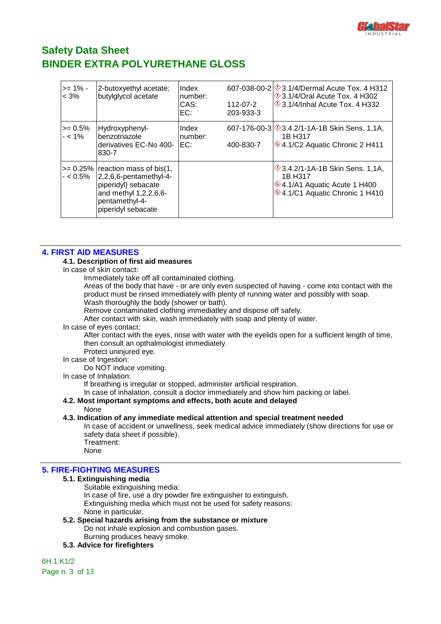

| $>= 1\%$ -<br>$< 3\%$   | 2-butoxyethyl acetate;<br>butylglycol acetate                                                                                                             | Index<br>number:<br>CAS:<br>EC: | 112-07-2<br>203-933-3 | 607-038-00-2 3.1/4/Dermal Acute Tox. 4 H312<br>$\Diamond$ 3.1/4/Oral Acute Tox. 4 H302<br>$\Diamond$ 3.1/4/Inhal Acute Tox. 4 H332 |
|-------------------------|-----------------------------------------------------------------------------------------------------------------------------------------------------------|---------------------------------|-----------------------|------------------------------------------------------------------------------------------------------------------------------------|
| $>= 0.5\%$<br>$- < 1\%$ | Hydroxyphenyl-<br>benzotriazole<br>derivatives EC-No 400-<br>830-7                                                                                        | Index<br>number:<br>EC:         | 400-830-7             | 607-176-00-3 $\otimes$ 3.4.2/1-1A-1B Skin Sens. 1,1A,<br>1B H317<br>♦4.1/C2 Aquatic Chronic 2 H411                                 |
| $- < 0.5\%$             | $>= 0.25\%$ reaction mass of bis(1,<br>$ 2,2,6,6$ -pentamethyl-4-<br>piperidyl) sebacate<br>and methyl 1,2,2,6,6-<br>pentamethyl-4-<br>piperidyl sebacate |                                 |                       | $\sqrt{$}3.4.2/1$ -1A-1B Skin Sens. 1,1A,<br>1B H317<br>♦4.1/A1 Aquatic Acute 1 H400<br>♦4.1/C1 Aquatic Chronic 1 H410             |

### **4. FIRST AID MEASURES**

#### **4.1. Description of first aid measures**

In case of skin contact:

Immediately take off all contaminated clothing.

Areas of the body that have - or are only even suspected of having - come into contact with the product must be rinsed immediately with plenty of running water and possibly with soap. Wash thoroughly the body (shower or bath).

Remove contaminated clothing immediatley and dispose off safely.

After contact with skin, wash immediately with soap and plenty of water.

In case of eyes contact:

After contact with the eyes, rinse with water with the eyelids open for a sufficient length of time, then consult an opthalmologist immediately.

Protect uninjured eye.

In case of Ingestion:

Do NOT induce vomiting.

### In case of Inhalation:

If breathing is irregular or stopped, administer artificial respiration.

In case of inhalation, consult a doctor immediately and show him packing or label.

### **4.2. Most important symptoms and effects, both acute and delayed**

None

#### **4.3. Indication of any immediate medical attention and special treatment needed**

In case of accident or unwellness, seek medical advice immediately (show directions for use or safety data sheet if possible). Treatment:

None

### **5. FIRE-FIGHTING MEASURES**

#### **5.1. Extinguishing media**

Suitable extinguishing media:

In case of fire, use a dry powder fire extinguisher to extinguish. Extinguishing media which must not be used for safety reasons: None in particular.

**5.2. Special hazards arising from the substance or mixture** Do not inhale explosion and combustion gases. Burning produces heavy smoke.

**5.3. Advice for firefighters**

6H.1.K1/2 Page n. 3 of 13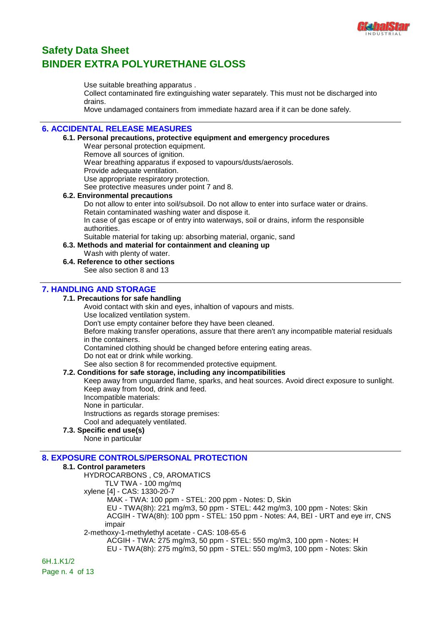

Use suitable breathing apparatus .

Collect contaminated fire extinguishing water separately. This must not be discharged into drains.

Move undamaged containers from immediate hazard area if it can be done safely.

### **6. ACCIDENTAL RELEASE MEASURES**

#### **6.1. Personal precautions, protective equipment and emergency procedures**

Wear personal protection equipment. Remove all sources of ignition. Wear breathing apparatus if exposed to vapours/dusts/aerosols. Provide adequate ventilation. Use appropriate respiratory protection. See protective measures under point 7 and 8.

#### **6.2. Environmental precautions**

Do not allow to enter into soil/subsoil. Do not allow to enter into surface water or drains. Retain contaminated washing water and dispose it. In case of gas escape or of entry into waterways, soil or drains, inform the responsible authorities.

Suitable material for taking up: absorbing material, organic, sand

**6.3. Methods and material for containment and cleaning up**

Wash with plenty of water.

### **6.4. Reference to other sections**

See also section 8 and 13

### **7. HANDLING AND STORAGE**

### **7.1. Precautions for safe handling**

Avoid contact with skin and eyes, inhaltion of vapours and mists.

Use localized ventilation system.

Don't use empty container before they have been cleaned.

Before making transfer operations, assure that there aren't any incompatible material residuals in the containers.

Contamined clothing should be changed before entering eating areas.

Do not eat or drink while working.

See also section 8 for recommended protective equipment.

### **7.2. Conditions for safe storage, including any incompatibilities**

Keep away from unguarded flame, sparks, and heat sources. Avoid direct exposure to sunlight. Keep away from food, drink and feed.

- Incompatible materials:
- None in particular.

Instructions as regards storage premises: Cool and adequately ventilated.

### **7.3. Specific end use(s)**

None in particular

### **8. EXPOSURE CONTROLS/PERSONAL PROTECTION**

### **8.1. Control parameters**

HYDROCARBONS , C9, AROMATICS

TLV TWA - 100 mg/mq

xylene [4] - CAS: 1330-20-7

MAK - TWA: 100 ppm - STEL: 200 ppm - Notes: D, Skin

 EU - TWA(8h): 221 mg/m3, 50 ppm - STEL: 442 mg/m3, 100 ppm - Notes: Skin ACGIH - TWA(8h): 100 ppm - STEL: 150 ppm - Notes: A4, BEI - URT and eye irr, CNS impair

2-methoxy-1-methylethyl acetate - CAS: 108-65-6

ACGIH - TWA: 275 mg/m3, 50 ppm - STEL: 550 mg/m3, 100 ppm - Notes: H

EU - TWA(8h): 275 mg/m3, 50 ppm - STEL: 550 mg/m3, 100 ppm - Notes: Skin

6H.1.K1/2 Page n. 4 of 13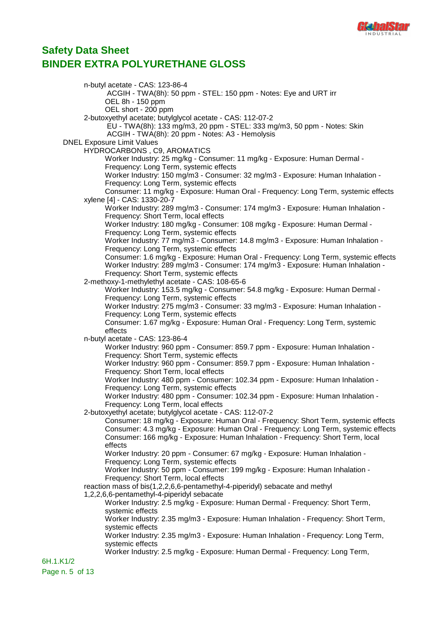

n-butyl acetate - CAS: 123-86-4 ACGIH - TWA(8h): 50 ppm - STEL: 150 ppm - Notes: Eye and URT irr OEL 8h - 150 ppm OEL short - 200 ppm 2-butoxyethyl acetate; butylglycol acetate - CAS: 112-07-2 EU - TWA(8h): 133 mg/m3, 20 ppm - STEL: 333 mg/m3, 50 ppm - Notes: Skin ACGIH - TWA(8h): 20 ppm - Notes: A3 - Hemolysis DNEL Exposure Limit Values HYDROCARBONS , C9, AROMATICS Worker Industry: 25 mg/kg - Consumer: 11 mg/kg - Exposure: Human Dermal - Frequency: Long Term, systemic effects Worker Industry: 150 mg/m3 - Consumer: 32 mg/m3 - Exposure: Human Inhalation - Frequency: Long Term, systemic effects Consumer: 11 mg/kg - Exposure: Human Oral - Frequency: Long Term, systemic effects xylene [4] - CAS: 1330-20-7 Worker Industry: 289 mg/m3 - Consumer: 174 mg/m3 - Exposure: Human Inhalation - Frequency: Short Term, local effects Worker Industry: 180 mg/kg - Consumer: 108 mg/kg - Exposure: Human Dermal - Frequency: Long Term, systemic effects Worker Industry: 77 mg/m3 - Consumer: 14.8 mg/m3 - Exposure: Human Inhalation - Frequency: Long Term, systemic effects Consumer: 1.6 mg/kg - Exposure: Human Oral - Frequency: Long Term, systemic effects Worker Industry: 289 mg/m3 - Consumer: 174 mg/m3 - Exposure: Human Inhalation - Frequency: Short Term, systemic effects 2-methoxy-1-methylethyl acetate - CAS: 108-65-6 Worker Industry: 153.5 mg/kg - Consumer: 54.8 mg/kg - Exposure: Human Dermal - Frequency: Long Term, systemic effects Worker Industry: 275 mg/m3 - Consumer: 33 mg/m3 - Exposure: Human Inhalation - Frequency: Long Term, systemic effects Consumer: 1.67 mg/kg - Exposure: Human Oral - Frequency: Long Term, systemic effects n-butyl acetate - CAS: 123-86-4 Worker Industry: 960 ppm - Consumer: 859.7 ppm - Exposure: Human Inhalation - Frequency: Short Term, systemic effects Worker Industry: 960 ppm - Consumer: 859.7 ppm - Exposure: Human Inhalation - Frequency: Short Term, local effects Worker Industry: 480 ppm - Consumer: 102.34 ppm - Exposure: Human Inhalation - Frequency: Long Term, systemic effects Worker Industry: 480 ppm - Consumer: 102.34 ppm - Exposure: Human Inhalation - Frequency: Long Term, local effects 2-butoxyethyl acetate; butylglycol acetate - CAS: 112-07-2 Consumer: 18 mg/kg - Exposure: Human Oral - Frequency: Short Term, systemic effects Consumer: 4.3 mg/kg - Exposure: Human Oral - Frequency: Long Term, systemic effects Consumer: 166 mg/kg - Exposure: Human Inhalation - Frequency: Short Term, local effects Worker Industry: 20 ppm - Consumer: 67 mg/kg - Exposure: Human Inhalation - Frequency: Long Term, systemic effects Worker Industry: 50 ppm - Consumer: 199 mg/kg - Exposure: Human Inhalation - Frequency: Short Term, local effects reaction mass of bis(1,2,2,6,6-pentamethyl-4-piperidyl) sebacate and methyl 1,2,2,6,6-pentamethyl-4-piperidyl sebacate Worker Industry: 2.5 mg/kg - Exposure: Human Dermal - Frequency: Short Term, systemic effects Worker Industry: 2.35 mg/m3 - Exposure: Human Inhalation - Frequency: Short Term, systemic effects Worker Industry: 2.35 mg/m3 - Exposure: Human Inhalation - Frequency: Long Term, systemic effects Worker Industry: 2.5 mg/kg - Exposure: Human Dermal - Frequency: Long Term, 6H.1.K1/2 Page n. 5 of 13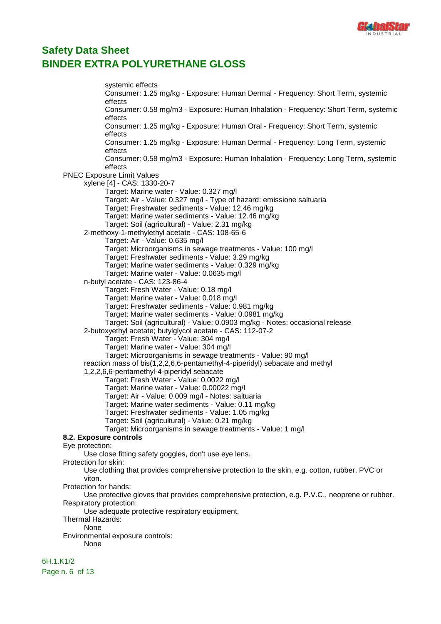

systemic effects Consumer: 1.25 mg/kg - Exposure: Human Dermal - Frequency: Short Term, systemic effects Consumer: 0.58 mg/m3 - Exposure: Human Inhalation - Frequency: Short Term, systemic effects Consumer: 1.25 mg/kg - Exposure: Human Oral - Frequency: Short Term, systemic effects Consumer: 1.25 mg/kg - Exposure: Human Dermal - Frequency: Long Term, systemic effects Consumer: 0.58 mg/m3 - Exposure: Human Inhalation - Frequency: Long Term, systemic effects PNEC Exposure Limit Values xylene [4] - CAS: 1330-20-7 Target: Marine water - Value: 0.327 mg/l Target: Air - Value: 0.327 mg/l - Type of hazard: emissione saltuaria Target: Freshwater sediments - Value: 12.46 mg/kg Target: Marine water sediments - Value: 12.46 mg/kg Target: Soil (agricultural) - Value: 2.31 mg/kg 2-methoxy-1-methylethyl acetate - CAS: 108-65-6 Target: Air - Value: 0.635 mg/l Target: Microorganisms in sewage treatments - Value: 100 mg/l Target: Freshwater sediments - Value: 3.29 mg/kg Target: Marine water sediments - Value: 0.329 mg/kg Target: Marine water - Value: 0.0635 mg/l n-butyl acetate - CAS: 123-86-4 Target: Fresh Water - Value: 0.18 mg/l Target: Marine water - Value: 0.018 mg/l Target: Freshwater sediments - Value: 0.981 mg/kg Target: Marine water sediments - Value: 0.0981 mg/kg Target: Soil (agricultural) - Value: 0.0903 mg/kg - Notes: occasional release 2-butoxyethyl acetate; butylglycol acetate - CAS: 112-07-2 Target: Fresh Water - Value: 304 mg/l Target: Marine water - Value: 304 mg/l Target: Microorganisms in sewage treatments - Value: 90 mg/l reaction mass of bis(1,2,2,6,6-pentamethyl-4-piperidyl) sebacate and methyl 1,2,2,6,6-pentamethyl-4-piperidyl sebacate Target: Fresh Water - Value: 0.0022 mg/l Target: Marine water - Value: 0.00022 mg/l Target: Air - Value: 0.009 mg/l - Notes: saltuaria Target: Marine water sediments - Value: 0.11 mg/kg Target: Freshwater sediments - Value: 1.05 mg/kg Target: Soil (agricultural) - Value: 0.21 mg/kg Target: Microorganisms in sewage treatments - Value: 1 mg/l **8.2. Exposure controls** Eye protection: Use close fitting safety goggles, don't use eye lens. Protection for skin: Use clothing that provides comprehensive protection to the skin, e.g. cotton, rubber, PVC or viton. Protection for hands: Use protective gloves that provides comprehensive protection, e.g. P.V.C., neoprene or rubber. Respiratory protection: Use adequate protective respiratory equipment. Thermal Hazards: None Environmental exposure controls: None

6H.1.K1/2 Page n. 6 of 13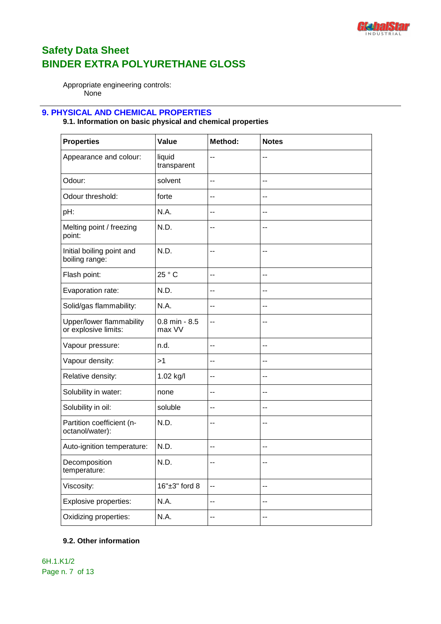

Appropriate engineering controls: None

### **9. PHYSICAL AND CHEMICAL PROPERTIES**

### **9.1. Information on basic physical and chemical properties**

| <b>Properties</b>                                | Value                       | Method: | <b>Notes</b>             |
|--------------------------------------------------|-----------------------------|---------|--------------------------|
| Appearance and colour:                           | liquid<br>transparent       | --      | $-$                      |
| Odour:                                           | solvent                     | --      | --                       |
| Odour threshold:                                 | forte                       | --      | $-$                      |
| pH:                                              | N.A.                        | --      | --                       |
| Melting point / freezing<br>point:               | N.D.                        | --      | $-$                      |
| Initial boiling point and<br>boiling range:      | N.D.                        | --      | --                       |
| Flash point:                                     | 25 ° C                      | --      | $-$                      |
| Evaporation rate:                                | N.D.                        | --      | $-$                      |
| Solid/gas flammability:                          | N.A.                        | --      | --                       |
| Upper/lower flammability<br>or explosive limits: | $0.8$ min - $8.5$<br>max VV | --      | $-$                      |
| Vapour pressure:                                 | n.d.                        | --      | $-$                      |
| Vapour density:                                  | >1                          | --      | $-$                      |
| Relative density:                                | 1.02 kg/l                   | --      | --                       |
| Solubility in water:                             | none                        | --      | $-$                      |
| Solubility in oil:                               | soluble                     | --      | --                       |
| Partition coefficient (n-<br>octanol/water):     | N.D.                        | --      | $\overline{\phantom{a}}$ |
| Auto-ignition temperature:                       | N.D.                        | --      |                          |
| Decomposition<br>temperature:                    | N.D.                        | --      | --                       |
| Viscosity:                                       | 16"±3" ford 8               | --      | --                       |
| Explosive properties:                            | N.A.                        | --      | --                       |
| Oxidizing properties:                            | N.A.                        | --      | --                       |

### **9.2. Other information**

6H.1.K1/2 Page n. 7 of 13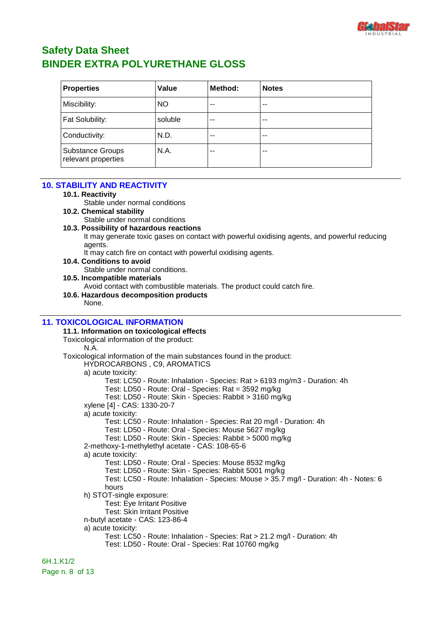

| <b>Properties</b>                              | Value     | Method: | <b>Notes</b> |
|------------------------------------------------|-----------|---------|--------------|
| Miscibility:                                   | <b>NO</b> | $-$     | $- -$        |
| Fat Solubility:                                | soluble   | $- -$   | $- -$        |
| Conductivity:                                  | N.D.      | $- -$   | $- -$        |
| <b>Substance Groups</b><br>relevant properties | N.A.      | $- -$   | $- -$        |

### **10. STABILITY AND REACTIVITY**

#### **10.1. Reactivity**

Stable under normal conditions

- **10.2. Chemical stability** Stable under normal conditions
- **10.3. Possibility of hazardous reactions**

It may generate toxic gases on contact with powerful oxidising agents, and powerful reducing agents.

- It may catch fire on contact with powerful oxidising agents.
- **10.4. Conditions to avoid**
	- Stable under normal conditions.
- **10.5. Incompatible materials**
	- Avoid contact with combustible materials. The product could catch fire.

### **10.6. Hazardous decomposition products**

None.

### **11. TOXICOLOGICAL INFORMATION**

**11.1. Information on toxicological effects** Toxicological information of the product: N.A. Toxicological information of the main substances found in the product: HYDROCARBONS , C9, AROMATICS a) acute toxicity: Test: LC50 - Route: Inhalation - Species: Rat > 6193 mg/m3 - Duration: 4h Test: LD50 - Route: Oral - Species: Rat = 3592 mg/kg Test: LD50 - Route: Skin - Species: Rabbit > 3160 mg/kg xylene [4] - CAS: 1330-20-7 a) acute toxicity: Test: LC50 - Route: Inhalation - Species: Rat 20 mg/l - Duration: 4h Test: LD50 - Route: Oral - Species: Mouse 5627 mg/kg Test: LD50 - Route: Skin - Species: Rabbit > 5000 mg/kg 2-methoxy-1-methylethyl acetate - CAS: 108-65-6 a) acute toxicity: Test: LD50 - Route: Oral - Species: Mouse 8532 mg/kg Test: LD50 - Route: Skin - Species: Rabbit 5001 mg/kg Test: LC50 - Route: Inhalation - Species: Mouse > 35.7 mg/l - Duration: 4h - Notes: 6 hours h) STOT-single exposure: Test: Eye Irritant Positive Test: Skin Irritant Positive n-butyl acetate - CAS: 123-86-4 a) acute toxicity: Test: LC50 - Route: Inhalation - Species: Rat > 21.2 mg/l - Duration: 4h Test: LD50 - Route: Oral - Species: Rat 10760 mg/kg 6H.1.K1/2

Page n. 8 of 13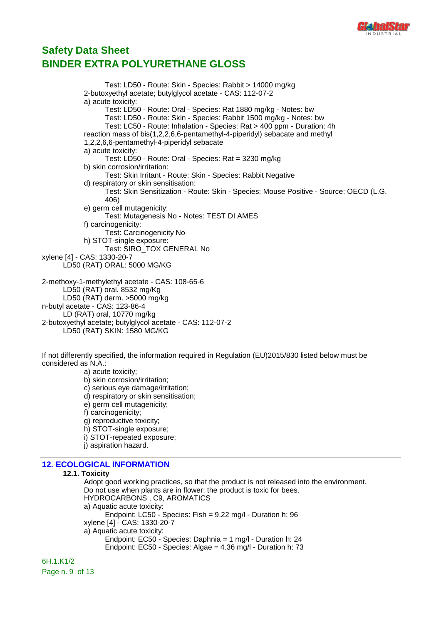

Test: LD50 - Route: Skin - Species: Rabbit > 14000 mg/kg 2-butoxyethyl acetate; butylglycol acetate - CAS: 112-07-2 a) acute toxicity: Test: LD50 - Route: Oral - Species: Rat 1880 mg/kg - Notes: bw Test: LD50 - Route: Skin - Species: Rabbit 1500 mg/kg - Notes: bw Test: LC50 - Route: Inhalation - Species: Rat > 400 ppm - Duration: 4h reaction mass of bis(1,2,2,6,6-pentamethyl-4-piperidyl) sebacate and methyl 1,2,2,6,6-pentamethyl-4-piperidyl sebacate a) acute toxicity: Test: LD50 - Route: Oral - Species: Rat = 3230 mg/kg b) skin corrosion/irritation: Test: Skin Irritant - Route: Skin - Species: Rabbit Negative d) respiratory or skin sensitisation: Test: Skin Sensitization - Route: Skin - Species: Mouse Positive - Source: OECD (L.G. 406) e) germ cell mutagenicity: Test: Mutagenesis No - Notes: TEST DI AMES f) carcinogenicity: Test: Carcinogenicity No h) STOT-single exposure: Test: SIRO\_TOX GENERAL No xylene [4] - CAS: 1330-20-7 LD50 (RAT) ORAL: 5000 MG/KG 2-methoxy-1-methylethyl acetate - CAS: 108-65-6 LD50 (RAT) oral. 8532 mg/Kg LD50 (RAT) derm. >5000 mg/kg n-butyl acetate - CAS: 123-86-4 LD (RAT) oral, 10770 mg/kg 2-butoxyethyl acetate; butylglycol acetate - CAS: 112-07-2 LD50 (RAT) SKIN: 1580 MG/KG

If not differently specified, the information required in Regulation (EU)2015/830 listed below must be considered as N.A.: a) acute toxicity;

b) skin corrosion/irritation; c) serious eye damage/irritation; d) respiratory or skin sensitisation; e) germ cell mutagenicity; f) carcinogenicity; g) reproductive toxicity; h) STOT-single exposure; i) STOT-repeated exposure; j) aspiration hazard.

### **12. ECOLOGICAL INFORMATION**

#### **12.1. Toxicity**

Adopt good working practices, so that the product is not released into the environment. Do not use when plants are in flower: the product is toxic for bees. HYDROCARBONS , C9, AROMATICS a) Aquatic acute toxicity: Endpoint: LC50 - Species: Fish = 9.22 mg/l - Duration h: 96 xylene [4] - CAS: 1330-20-7 a) Aquatic acute toxicity: Endpoint: EC50 - Species: Daphnia = 1 mg/l - Duration h: 24 Endpoint: EC50 - Species: Algae = 4.36 mg/l - Duration h: 73

6H.1.K1/2 Page n. 9 of 13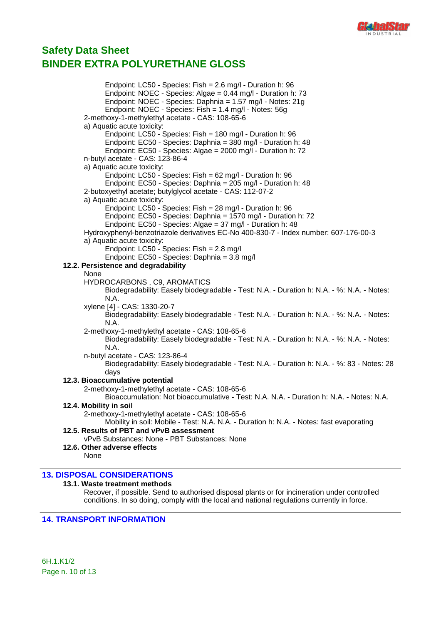

Endpoint: LC50 - Species: Fish = 2.6 mg/l - Duration h: 96 Endpoint: NOEC - Species: Algae = 0.44 mg/l - Duration h: 73 Endpoint: NOEC - Species: Daphnia = 1.57 mg/l - Notes: 21g Endpoint: NOEC - Species: Fish = 1.4 mg/l - Notes: 56g 2-methoxy-1-methylethyl acetate - CAS: 108-65-6 a) Aquatic acute toxicity: Endpoint: LC50 - Species: Fish = 180 mg/l - Duration h: 96 Endpoint: EC50 - Species: Daphnia = 380 mg/l - Duration h: 48 Endpoint: EC50 - Species: Algae = 2000 mg/l - Duration h: 72 n-butyl acetate - CAS: 123-86-4 a) Aquatic acute toxicity: Endpoint: LC50 - Species: Fish = 62 mg/l - Duration h: 96 Endpoint: EC50 - Species: Daphnia = 205 mg/l - Duration h: 48 2-butoxyethyl acetate; butylglycol acetate - CAS: 112-07-2 a) Aquatic acute toxicity: Endpoint: LC50 - Species: Fish = 28 mg/l - Duration h: 96 Endpoint: EC50 - Species: Daphnia = 1570 mg/l - Duration h: 72 Endpoint: EC50 - Species: Algae = 37 mg/l - Duration h: 48 Hydroxyphenyl-benzotriazole derivatives EC-No 400-830-7 - Index number: 607-176-00-3 a) Aquatic acute toxicity: Endpoint: LC50 - Species: Fish = 2.8 mg/l Endpoint: EC50 - Species: Daphnia = 3.8 mg/l **12.2. Persistence and degradability** None HYDROCARBONS , C9, AROMATICS Biodegradability: Easely biodegradable - Test: N.A. - Duration h: N.A. - %: N.A. - Notes: N.A. xylene [4] - CAS: 1330-20-7 Biodegradability: Easely biodegradable - Test: N.A. - Duration h: N.A. - %: N.A. - Notes: N.A. 2-methoxy-1-methylethyl acetate - CAS: 108-65-6 Biodegradability: Easely biodegradable - Test: N.A. - Duration h: N.A. - %: N.A. - Notes: N.A. n-butyl acetate - CAS: 123-86-4 Biodegradability: Easely biodegradable - Test: N.A. - Duration h: N.A. - %: 83 - Notes: 28 days **12.3. Bioaccumulative potential** 2-methoxy-1-methylethyl acetate - CAS: 108-65-6 Bioaccumulation: Not bioaccumulative - Test: N.A. N.A. - Duration h: N.A. - Notes: N.A. **12.4. Mobility in soil** 2-methoxy-1-methylethyl acetate - CAS: 108-65-6 Mobility in soil: Mobile - Test: N.A. N.A. - Duration h: N.A. - Notes: fast evaporating **12.5. Results of PBT and vPvB assessment** vPvB Substances: None - PBT Substances: None **12.6. Other adverse effects** None

### **13. DISPOSAL CONSIDERATIONS**

#### **13.1. Waste treatment methods**

Recover, if possible. Send to authorised disposal plants or for incineration under controlled conditions. In so doing, comply with the local and national regulations currently in force.

### **14. TRANSPORT INFORMATION**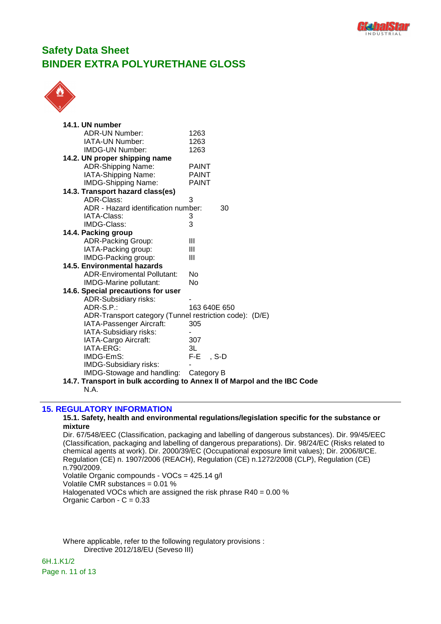



| 14.1. UN number                                         |                                                                          |
|---------------------------------------------------------|--------------------------------------------------------------------------|
| ADR-UN Number:                                          | 1263                                                                     |
| IATA-UN Number:                                         | 1263                                                                     |
| <b>IMDG-UN Number:</b>                                  | 1263                                                                     |
| 14.2. UN proper shipping name                           |                                                                          |
| <b>ADR-Shipping Name:</b>                               | <b>PAINT</b>                                                             |
| IATA-Shipping Name:                                     | <b>PAINT</b>                                                             |
| <b>IMDG-Shipping Name:</b>                              | <b>PAINT</b>                                                             |
| 14.3. Transport hazard class(es)                        |                                                                          |
| ADR-Class:                                              | 3                                                                        |
| ADR - Hazard identification number:                     | 30                                                                       |
| IATA-Class:                                             | 3                                                                        |
| IMDG-Class:                                             | 3                                                                        |
| 14.4. Packing group                                     |                                                                          |
| <b>ADR-Packing Group:</b>                               | Ш                                                                        |
| IATA-Packing group:                                     | Ш                                                                        |
| IMDG-Packing group:                                     | Ш                                                                        |
| <b>14.5. Environmental hazards</b>                      |                                                                          |
| <b>ADR-Enviromental Pollutant:</b>                      | No                                                                       |
| IMDG-Marine pollutant:                                  | No                                                                       |
| 14.6. Special precautions for user                      |                                                                          |
| <b>ADR-Subsidiary risks:</b>                            |                                                                          |
| $ADR-S.P.$ :                                            | 163 640E 650                                                             |
| ADR-Transport category (Tunnel restriction code): (D/E) |                                                                          |
| IATA-Passenger Aircraft:                                | 305                                                                      |
| IATA-Subsidiary risks:                                  |                                                                          |
| IATA-Cargo Aircraft:                                    | 307                                                                      |
| IATA-ERG:                                               | 3L                                                                       |
| IMDG-EmS:                                               | F-E<br>$S-D$                                                             |
| <b>IMDG-Subsidiary risks:</b>                           |                                                                          |
| IMDG-Stowage and handling:                              | Category B                                                               |
|                                                         | 14.7. Transport in bulk according to Annex II of Marpol and the IBC Code |
| N.A.                                                    |                                                                          |

#### **15. REGULATORY INFORMATION**

#### **15.1. Safety, health and environmental regulations/legislation specific for the substance or mixture**

Dir. 67/548/EEC (Classification, packaging and labelling of dangerous substances). Dir. 99/45/EEC (Classification, packaging and labelling of dangerous preparations). Dir. 98/24/EC (Risks related to chemical agents at work). Dir. 2000/39/EC (Occupational exposure limit values); Dir. 2006/8/CE. Regulation (CE) n. 1907/2006 (REACH), Regulation (CE) n.1272/2008 (CLP), Regulation (CE) n.790/2009. Volatile Organic compounds - VOCs = 425.14 g/l Volatile CMR substances = 0.01 % Halogenated VOCs which are assigned the risk phrase R40 = 0.00 % Organic Carbon -  $C = 0.33$ 

Where applicable, refer to the following regulatory provisions : Directive 2012/18/EU (Seveso III)

6H.1.K1/2 Page n. 11 of 13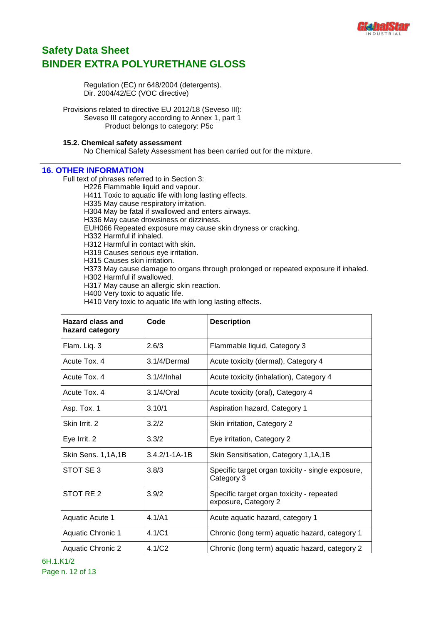

Regulation (EC) nr 648/2004 (detergents). Dir. 2004/42/EC (VOC directive)

Provisions related to directive EU 2012/18 (Seveso III): Seveso III category according to Annex 1, part 1 Product belongs to category: P5c

#### **15.2. Chemical safety assessment**

No Chemical Safety Assessment has been carried out for the mixture.

### **16. OTHER INFORMATION**

Full text of phrases referred to in Section 3:

H226 Flammable liquid and vapour. H411 Toxic to aquatic life with long lasting effects.

H335 May cause respiratory irritation.

H304 May be fatal if swallowed and enters airways.

H336 May cause drowsiness or dizziness.

EUH066 Repeated exposure may cause skin dryness or cracking.

H332 Harmful if inhaled.

H312 Harmful in contact with skin.

H319 Causes serious eye irritation.

H315 Causes skin irritation.

H373 May cause damage to organs through prolonged or repeated exposure if inhaled.

H302 Harmful if swallowed.

H317 May cause an allergic skin reaction.

H400 Very toxic to aquatic life.

H410 Very toxic to aquatic life with long lasting effects.

| <b>Hazard class and</b><br>hazard category | Code                | <b>Description</b>                                                |
|--------------------------------------------|---------------------|-------------------------------------------------------------------|
| Flam. Liq. 3                               | 2.6/3               | Flammable liquid, Category 3                                      |
| Acute Tox. 4                               | 3.1/4/Dermal        | Acute toxicity (dermal), Category 4                               |
| Acute Tox. 4                               | $3.1/4$ /Inhal      | Acute toxicity (inhalation), Category 4                           |
| Acute Tox. 4                               | 3.1/4/Oral          | Acute toxicity (oral), Category 4                                 |
| Asp. Tox. 1                                | 3.10/1              | Aspiration hazard, Category 1                                     |
| Skin Irrit. 2                              | 3.2/2               | Skin irritation, Category 2                                       |
| Eye Irrit. 2                               | 3.3/2               | Eye irritation, Category 2                                        |
| Skin Sens. 1,1A,1B                         | $3.4.2/1 - 1A - 1B$ | Skin Sensitisation, Category 1,1A,1B                              |
| STOT SE3                                   | 3.8/3               | Specific target organ toxicity - single exposure,<br>Category 3   |
| STOT RE <sub>2</sub>                       | 3.9/2               | Specific target organ toxicity - repeated<br>exposure, Category 2 |
| <b>Aquatic Acute 1</b>                     | 4.1/A1              | Acute aquatic hazard, category 1                                  |
| <b>Aquatic Chronic 1</b>                   | 4.1/C1              | Chronic (long term) aquatic hazard, category 1                    |
| <b>Aquatic Chronic 2</b>                   | 4.1/C2              | Chronic (long term) aquatic hazard, category 2                    |